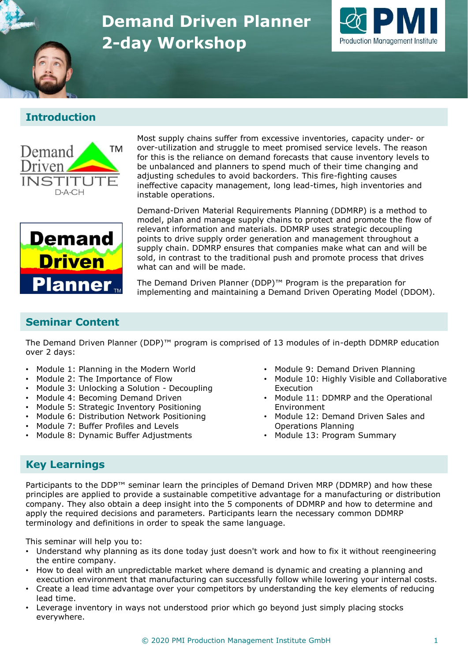# **Demand Driven Planner 2-day Workshop**



# **Introduction**



Most supply chains suffer from excessive inventories, capacity under- or over-utilization and struggle to meet promised service levels. The reason for this is the reliance on demand forecasts that cause inventory levels to be unbalanced and planners to spend much of their time changing and adjusting schedules to avoid backorders. This fire-fighting causes ineffective capacity management, long lead-times, high inventories and instable operations.



Demand-Driven Material Requirements Planning (DDMRP) is a method to model, plan and manage supply chains to protect and promote the flow of relevant information and materials. DDMRP uses strategic decoupling points to drive supply order generation and management throughout a supply chain. DDMRP ensures that companies make what can and will be sold, in contrast to the traditional push and promote process that drives what can and will be made.

The Demand Driven Planner (DDP)™ Program is the preparation for implementing and maintaining a Demand Driven Operating Model (DDOM).

#### **Seminar Content**

The Demand Driven Planner (DDP)™ program is comprised of 13 modules of in-depth DDMRP education over 2 days:

- Module 1: Planning in the Modern World
- Module 2: The Importance of Flow
- Module 3: Unlocking a Solution Decoupling
- Module 4: Becoming Demand Driven
- Module 5: Strategic Inventory Positioning
- Module 6: Distribution Network Positioning
- Module 7: Buffer Profiles and Levels
- Module 8: Dynamic Buffer Adjustments
- Module 9: Demand Driven Planning
- Module 10: Highly Visible and Collaborative Execution
- Module 11: DDMRP and the Operational Environment
- Module 12: Demand Driven Sales and Operations Planning
- Module 13: Program Summary

### **Key Learnings**

Participants to the DDP™ seminar learn the principles of Demand Driven MRP (DDMRP) and how these principles are applied to provide a sustainable competitive advantage for a manufacturing or distribution company. They also obtain a deep insight into the 5 components of DDMRP and how to determine and apply the required decisions and parameters. Participants learn the necessary common DDMRP terminology and definitions in order to speak the same language.

This seminar will help you to:

- Understand why planning as its done today just doesn't work and how to fix it without reengineering the entire company.
- How to deal with an unpredictable market where demand is dynamic and creating a planning and execution environment that manufacturing can successfully follow while lowering your internal costs.
- Create a lead time advantage over your competitors by understanding the key elements of reducing lead time.
- Leverage inventory in ways not understood prior which go beyond just simply placing stocks everywhere.